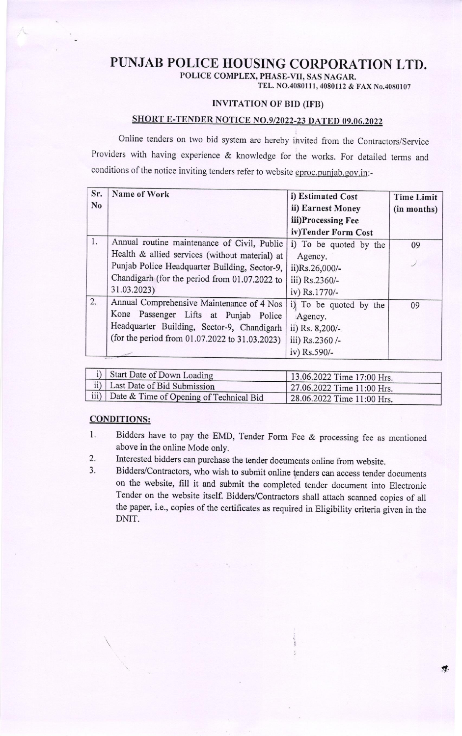## PUNJAB POLICE HOUSING CORPORATION LTD.

POLICE COMPLEX, PHASE-VII, SAS NAGAR.

TEL. NO.4080111, 4080112 & FAX No.4080107

## INVITATION OF BID (IFB)

## SHORT E-TENDER NOTICE NO.9/2022-23 DATED 09.06.2022

Online tenders on two bid system are hereby invited from the Contractors/Service Providers with having experience & knowledge for the works. For detailed terms and conditions of the notice inviting tenders refer to website eproc.punjab.gov.in:-

| Sr.            | Name of Work                                   | i) Estimated Cost      | <b>Time Limit</b> |
|----------------|------------------------------------------------|------------------------|-------------------|
| N <sub>0</sub> |                                                | ii) Earnest Money      | (in months)       |
|                |                                                | iii)Processing Fee     |                   |
|                |                                                | iv)Tender Form Cost    |                   |
| 1.             | Annual routine maintenance of Civil, Public    | i) To be quoted by the | 09                |
|                | Health & allied services (without material) at | Agency.                |                   |
|                | Punjab Police Headquarter Building, Sector-9,  | ii)Rs.26,000/-         |                   |
|                | Chandigarh (for the period from 01.07.2022 to  | iii) Rs.2360/-         |                   |
|                | 31.03.2023)                                    | iv) Rs.1770/-          |                   |
| 2.             | Annual Comprehensive Maintenance of 4 Nos      | i) To be quoted by the | 09                |
|                | Kone Passenger Lifts at Punjab Police          | Agency.                |                   |
|                | Headquarter Building, Sector-9, Chandigarh     | ii) Rs. 8,200/-        |                   |
|                | (for the period from 01.07.2022 to 31.03.2023) | iii) Rs.2360 /-        |                   |
|                | women agent                                    | iv) Rs.590/-           |                   |

| i) Start Date of Down Loading                              | 13.06.2022 Time 17:00 Hrs.  |
|------------------------------------------------------------|-----------------------------|
| $\vert$ ii) Last Date of Bid Submission                    | 127.06.2022 Time 11:00 Hrs. |
| $\frac{1}{2}$ iii) Date & Time of Opening of Technical Bid | 28.06.2022 Time 11:00 Hrs.  |

## CONDITIONS:

- 1. Bidders have to pay the EMD, Tender Form Fee & processing fee as mentioned above in the online Mode only.
- Interested bidders can purchase the tender documents online from website. 2.
- Bidders/contractors, who wish to submit online tenders can access tender documents on the website, frll it and submit the completed tender document into Electronic Tender on the website itself. Bidders/contractors shall attach scanned copies of all the paper, i.e., copies of the certificates as required in Eligibility criteria given in the DNIT. 3.

{.